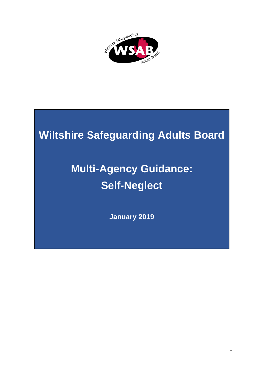

# **Wiltshire Safeguarding Adults Board**

# **Multi-Agency Guidance: Self-Neglect**

**January 2019**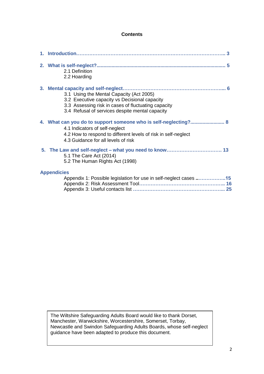#### **Contents**

|  | 2.1 Definition<br>2.2 Hoarding                                                                                                                                                                             |
|--|------------------------------------------------------------------------------------------------------------------------------------------------------------------------------------------------------------|
|  | 3.1 Using the Mental Capacity (Act 2005)<br>3.2 Executive capacity vs Decisional capacity<br>3.3 Assessing risk in cases of fluctuating capacity<br>3.4 Refusal of services despite mental capacity        |
|  | 4. What can you do to support someone who is self-neglecting? 8<br>4.1 Indicators of self-neglect<br>4.2 How to respond to different levels of risk in self-neglect<br>4.3 Guidance for all levels of risk |
|  | 5.1 The Care Act (2014)<br>5.2 The Human Rights Act (1998)                                                                                                                                                 |
|  | <b>Appendicies</b><br>Appendix 1: Possible legislation for use in self-neglect cases 15                                                                                                                    |

The Wiltshire Safeguarding Adults Board would like to thank Dorset, Manchester, Warwickshire, Worcestershire, Somerset, Torbay, Newcastle and Swindon Safeguarding Adults Boards, whose self-neglect guidance have been adapted to produce this document.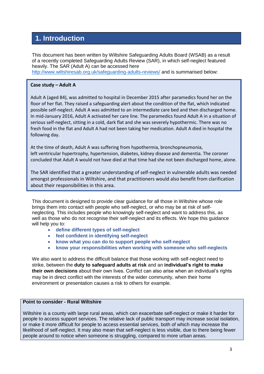## **1. Introduction**

This document has been written by Wiltshire Safeguarding Adults Board (WSAB) as a result of a recently completed Safeguarding Adults Review (SAR), in which self-neglect featured heavily. The SAR (Adult A) can be accessed here <http://www.wiltshiresab.org.uk/safeguarding-adults-reviews/> and is summarised below:

#### **Case study – Adult A**

Adult A (aged 84), was admitted to hospital in December 2015 after paramedics found her on the floor of her flat. They raised a safeguarding alert about the condition of the flat, which indicated possible self-neglect. Adult A was admitted to an intermediate care bed and then discharged home. In mid-January 2016, Adult A activated her care line. The paramedics found Adult A in a situation of serious self-neglect, sitting in a cold, dark flat and she was severely hypothermic. There was no fresh food in the flat and Adult A had not been taking her medication. Adult A died in hospital the following day.

At the time of death, Adult A was suffering from hypothermia, bronchopneumonia, left ventricular hypertrophy, hypertension, diabetes, kidney disease and dementia. The coroner concluded that Adult A would not have died at that time had she not been discharged home, alone.

The SAR identified that a greater understanding of self-neglect in vulnerable adults was needed amongst professionals in Wiltshire, and that practitioners would also benefit from clarification about their responsibilities in this area.

This document is designed to provide clear guidance for all those in Wiltshire whose role brings them into contact with people who self-neglect, or who may be at risk of selfneglecting. This includes people who knowingly self-neglect and want to address this, as well as those who do not recognise their self-neglect and its effects. We hope this guidance will help you to:

- **define different types of self-neglect**
- **feel confident in identifying self-neglect**
- **know what you can do to support people who self-neglect**
- **know your responsibilities when working with someone who self-neglects**

We also want to address the difficult balance that those working with self-neglect need to strike, between the **duty to safeguard adults at risk** and an **individual's right to make their own decisions** about their own lives. Conflict can also arise when an individual's rights may be in direct conflict with the interests of the wider community, when their home environment or presentation causes a risk to others for example.

#### **Point to consider - Rural Wiltshire**

Wiltshire is a county with large rural areas, which can exacerbate self-neglect or make it harder for people to access support services. The relative lack of public transport may increase social isolation, or make it more difficult for people to access essential services, both of which may increase the likelihood of self-neglect. It may also mean that self-neglect is less visible, due to there being fewer people around to notice when someone is struggling, compared to more urban areas.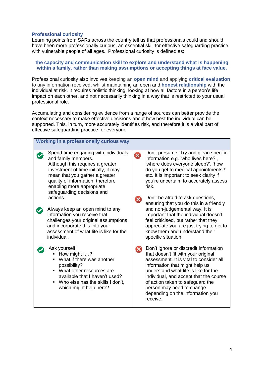#### **Professional curiosity**

Learning points from SARs across the country tell us that professionals could and should have been more professionally curious, an essential skill for effective safeguarding practice with vulnerable people of all ages. Professional curiosity is defined as:

#### **the capacity and communication skill to explore and understand what is happening within a family, rather than making assumptions or accepting things at face value.**

Professional curiosity also involves keeping an **open mind** and applying **critical evaluation** to any information received, whilst maintaining an open and **honest relationship** with the individual at risk. It requires holistic thinking, looking at how all factors in a person's life impact on each other, and not necessarily thinking in a way that is restricted to your usual professional role.

Accumulating and considering evidence from a range of sources can better provide the context necessary to make effective decisions about how best the individual can be supported. This, in turn, more accurately identifies risk, and therefore it is a vital part of effective safeguarding practice for everyone.

| supported. This, in turn, more accurately identifies risk, and trieferole it is a vital part of<br>effective safeguarding practice for everyone.                                                                                                                          |                                                                                                                                                                                                                                                                                                                                                                               |  |  |  |  |  |  |
|---------------------------------------------------------------------------------------------------------------------------------------------------------------------------------------------------------------------------------------------------------------------------|-------------------------------------------------------------------------------------------------------------------------------------------------------------------------------------------------------------------------------------------------------------------------------------------------------------------------------------------------------------------------------|--|--|--|--|--|--|
| Working in a professionally curious way                                                                                                                                                                                                                                   |                                                                                                                                                                                                                                                                                                                                                                               |  |  |  |  |  |  |
| Spend time engaging with individuals<br>and family members.<br>Although this requires a greater<br>investment of time initially, it may<br>mean that you gather a greater<br>quality of information, therefore<br>enabling more appropriate<br>safeguarding decisions and | Don't presume. Try and glean specific<br>X<br>information e.g. 'who lives here?',<br>'where does everyone sleep?', 'how<br>do you get to medical appointments?'<br>etc. It is important to seek clarity if<br>you're uncertain, to accurately assess<br>risk.                                                                                                                 |  |  |  |  |  |  |
| actions.<br>Always keep an open mind to any<br>information you receive that<br>challenges your original assumptions,<br>and incorporate this into your<br>assessment of what life is like for the<br>individual.                                                          | Don't be afraid to ask questions,<br>$\infty$<br>ensuring that you do this in a friendly<br>and non-judgemental way. It is<br>important that the individual doesn't<br>feel criticised, but rather that they<br>appreciate you are just trying to get to<br>know them and understand their<br>specific situation.                                                             |  |  |  |  |  |  |
| Ask yourself:<br>How might $12$<br>What if there was another<br>possibility?<br>• What other resources are<br>available that I haven't used?<br>Who else has the skills I don't,<br>which might help here?                                                                | Don't ignore or discredit information<br>$\boldsymbol{\mathsf{x}}$<br>that doesn't fit with your original<br>assessment. It is vital to consider all<br>information that might help us<br>understand what life is like for the<br>individual, and accept that the course<br>of action taken to safeguard the<br>person may need to change<br>depending on the information you |  |  |  |  |  |  |

receive.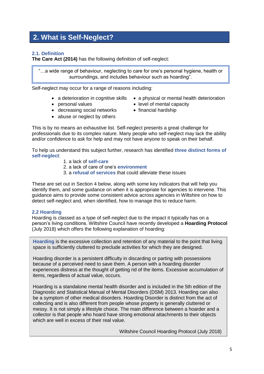### **2. What is Self-Neglect?**

#### **2.1. Definition**

**The Care Act (2014)** has the following definition of self-neglect:

"…a wide range of behaviour, neglecting to care for one's personal hygiene, health or surroundings, and includes behaviour such as hoarding".

Self-neglect may occur for a range of reasons including:

- 
- 
- a deterioration in cognitive skills  $\bullet$  a physical or mental health deterioration
	-
- personal values **exercise in the set of mental capacity**
- decreasing social networks financial hardship • abuse or neglect by others
	-

This is by no means an exhaustive list. Self-neglect presents a great challenge for

professionals due to its complex nature. Many people who self-neglect may lack the ability and/or confidence to ask for help and may not have anyone to speak on their behalf.

To help us understand this subject further, research has identified **three distinct forms of self-neglect**:

- 1. a lack of **self-care**
- 2. a lack of care of one's **environment**
- 3. a **refusal of services** that could alleviate these issues

These are set out in Section 4 below, along with some key indicators that will help you identify them, and some guidance on when it is appropriate for agencies to intervene. This guidance aims to provide some consistent advice across agencies in Wiltshire on how to detect self-neglect and, when identified, how to manage this to reduce harm.

#### **2.2 Hoarding**

Hoarding is classed as a type of self-neglect due to the impact it typically has on a person's living conditions. Wiltshire Council have recently developed a **Hoarding Protocol** (July 2018) which offers the following explanation of hoarding:

**Hoarding** is the excessive collection and retention of any material to the point that living space is sufficiently cluttered to preclude activities for which they are designed.

Hoarding disorder is a persistent difficulty in discarding or parting with possessions because of a perceived need to save them. A person with a hoarding disorder experiences distress at the thought of getting rid of the items. Excessive accumulation of items, regardless of actual value, occurs.

Hoarding is a standalone mental health disorder and is included in the 5th edition of the Diagnostic and Statistical Manual of Mental Disorders (DSM) 2013. Hoarding can also be a symptom of other medical disorders. Hoarding Disorder is distinct from the act of collecting and is also different from people whose property is generally cluttered or messy. It is not simply a lifestyle choice. The main difference between a hoarder and a collector is that people who hoard have strong emotional attachments to their objects which are well in excess of their real value.

Wiltshire Council Hoarding Protocol (July 2018)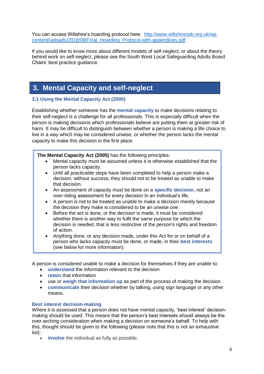You can access Wiltshire's hoarding protocol here: [http://www.wiltshiresab.org.uk/wp](http://www.wiltshiresab.org.uk/wp-content/uploads/2018/08/Final_Hoarding_Protocol-with-appendices.pdf)[content/uploads/2018/08/Final\\_Hoarding\\_Protocol-with-appendices.pdf](http://www.wiltshiresab.org.uk/wp-content/uploads/2018/08/Final_Hoarding_Protocol-with-appendices.pdf)

If you would like to know more about different models of self-neglect, or about the theory behind work on self-neglect, please see the South West Local Safeguarding Adults Board Chairs' best practice guidance.

## **3. Mental Capacity and self-neglect**

#### **3.1 Using the Mental Capacity Act (2005)**

Establishing whether someone has the **mental capacity** to make decisions relating to their self-neglect is a challenge for all professionals. This is especially difficult when the person is making decisions which professionals believe are putting them at greater risk of harm. It may be difficult to distinguish between whether a person is making a life choice to live in a way which may be considered unwise, or whether the person lacks the mental capacity to make this decision in the first place.

#### **The Mental Capacity Act (2005)** has the following principles:

- Mental capacity must be assumed unless it is otherwise established that the person lacks capacity.
- Until all practicable steps have been completed to help a person make a decision, without success, they should not to be treated as unable to make that decision.
- An assessment of capacity must be done on a **specific decision**, not an over-riding assessment for every decision in an individual's life.
- A person is not to be treated as unable to make a decision merely because the decision they make is considered to be an unwise one.
- Before the act is done, or the decision is made, it must be considered whether there is another way to fulfil the same purpose for which the decision is needed, that is less restrictive of the person's rights and freedom of action.
- Anything done, or any decision made, under this Act for or on behalf of a person who lacks capacity must be done, or made, in their **best interests** (see below for more information).

A person is considered unable to make a decision for themselves if they are unable to:

- **understand** the information relevant to the decision
- **retain** that information
- use or **weigh that information up** as part of the process of making the decision
- **communicate** their decision whether by talking, using sign language or any other means.

#### **Best interest decision-making**

Where it is assessed that a person does not have mental capacity, 'best interest' decisionmaking should be used. This means that the person's best interests should always be the over-arching consideration when making a decision on someone's behalf. To help with this, thought should be given to the following (please note that this is not an exhaustive list):

**involve** the individual as fully as possible.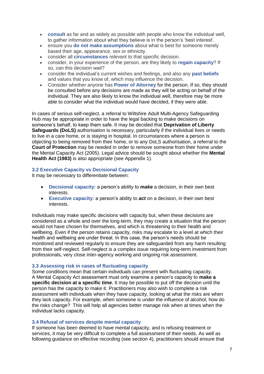- **consult** as far and as widely as possible with people who know the individual well, to gather information about what they believe is in the person's 'best interest'.
- ensure you **do not make assumptions** about what is best for someone merely based their age, appearance, sex or ethnicity.
- consider all **circumstances** relevant to that specific decision.
- consider, in your experience of the person, are they likely to **regain capacity**? If so, can this decision wait?
- consider the individual's current wishes and feelings, and also any **past beliefs** and values that you know of, which may influence the decision.
- Consider whether anyone has **Power of Attorney** for the person. If so, they should be consulted before any decisions are made as they will be acting on behalf of the individual. They are also likely to know the individual well, therefore may be more able to consider what the individual would have decided, if they were able.

In cases of serious self-neglect, a referral to Wiltshire Adult Multi-Agency Safeguarding Hub may be appropriate in order to have the legal backing to make decisions on someone's behalf, to keep them safe. It may be decided that **Deprivation of Liberty Safeguards (DoLS)** authorisation is necessary, particularly if the individual lives or needs to live in a care home, or is staying in hospital. In circumstances where a person is objecting to being removed from their home, or to any DoLS authorisation, a referral to the **Court of Protection** may be needed in order to remove someone from their home under the Mental Capacity Act (2005). Legal advice should be sought about whether the **Mental Health Act (1983)** is also appropriate (see Appendix 1).

#### **3.2 Executive Capacity vs Decisional Capacity**

It may be necessary to differentiate between:

- **Decisional capacity:** a person's ability to *make* a decision, in their own best interests.
- **Executive capacity:** a person's ability to *act* on a decision, in their own best interests.

Individuals may make specific decisions with capacity but, when these decisions are considered as a whole and over the long-term, they may create a situation that the person would not have chosen for themselves, and which is threatening to their health and wellbeing. Even if the person retains capacity, risks may escalate to a level at which their health and wellbeing are under threat. In this case, the person's needs should be monitored and reviewed regularly to ensure they are safeguarded from any harm resulting from their self-neglect. Self-neglect is a complex issue requiring long-term investment from professionals, very close inter-agency working and ongoing risk assessment.

#### **3.3 Assessing risk in cases of fluctuating capacity**

Some conditions mean that certain individuals can present with fluctuating capacity. A Mental Capacity Act assessment must only examine a person's capacity to **make a specific decision at a specific time.** It may be possible to put off the decision until the person has the capacity to make it. Practitioners may also wish to complete a risk assessment with individuals when they have capacity, looking at what the risks are when they lack capacity. For example, when someone is under the influence of alcohol, how do the risks change? This will help all agencies better manage risk when at times when the individual lacks capacity.

#### **3.4 Refusal of services despite mental capacity**

If someone has been deemed to have mental capacity, and is refusing treatment or services, it may be very difficult to complete a full assessment of their needs. As well as following guidance on effective recording (see section 4), practitioners should ensure that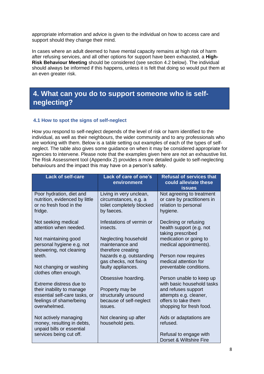appropriate information and advice is given to the individual on how to access care and support should they change their mind.

In cases where an adult deemed to have mental capacity remains at high risk of harm after refusing services, and all other options for support have been exhausted, a **High-Risk Behaviour Meeting** should be considered (see section 4.2 below). The individual should always be informed if this happens, unless it is felt that doing so would put them at an even greater risk.

## **4. What can you do to support someone who is selfneglecting?**

#### **4.1 How to spot the signs of self-neglect**

How you respond to self-neglect depends of the level of risk or harm identified to the individual, as well as their neighbours, the wider community and to any professionals who are working with them. Below is a table setting out examples of each of the types of selfneglect. The table also gives some guidance on when it may be considered appropriate for agencies to intervene. Please note that the examples given here are not an exhaustive list. The Risk Assessment tool (Appendix 2) provides a more detailed guide to self-neglecting behaviours and the impact this may have on a person's safety.

| <b>Lack of self-care</b>                                                                              | Lack of care of one's<br>environment                                                        | <b>Refusal of services that</b><br>could alleviate these<br><b>issues</b>                        |
|-------------------------------------------------------------------------------------------------------|---------------------------------------------------------------------------------------------|--------------------------------------------------------------------------------------------------|
| Poor hydration, diet and<br>nutrition, evidenced by little<br>or no fresh food in the<br>fridge.      | Living in very unclean,<br>circumstances, e.g. a<br>toilet completely blocked<br>by faeces. | Not agreeing to treatment<br>or care by practitioners in<br>relation to personal<br>hygiene.     |
| Not seeking medical<br>attention when needed.                                                         | Infestations of vermin or<br>insects.                                                       | Declining or refusing<br>health support (e.g. not<br>taking prescribed                           |
| Not maintaining good<br>personal hygiene e.g. not<br>showering, not cleaning                          | Neglecting household<br>maintenance and<br>therefore creating                               | medication or going to<br>medical appointments).                                                 |
| teeth.<br>Not changing or washing                                                                     | hazards e.g. outstanding<br>gas checks, not fixing<br>faulty appliances.                    | Person now requires<br>medical attention for<br>preventable conditions.                          |
| clothes often enough.<br>Extreme distress due to                                                      | Obsessive hoarding.                                                                         | Person unable to keep up<br>with basic household tasks                                           |
| their inability to manage<br>essential self-care tasks, or<br>feelings of shame/being<br>overwhelmed. | Property may be<br>structurally unsound<br>because of self-neglect<br>issues.               | and refuses support<br>attempts e.g. cleaner,<br>offers to take them<br>shopping for fresh food. |
| Not actively managing<br>money, resulting in debts,<br>unpaid bills or essential                      | Not cleaning up after<br>household pets.                                                    | Aids or adaptations are<br>refused.                                                              |
| services being cut off.                                                                               |                                                                                             | Refusal to engage with<br>Dorset & Wiltshire Fire                                                |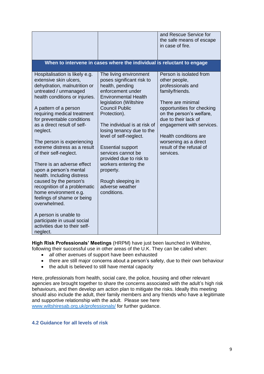|                                                                                                                                                                                                                                                                                                                                                                                                                                                                                                                                                                                                                                                                                                          |                                                                                                                                                                                                                                                                                                                                                                                                                                                               | and Rescue Service for<br>the safe means of escape<br>in case of fire.                                                                                                                                                                                                                                                 |
|----------------------------------------------------------------------------------------------------------------------------------------------------------------------------------------------------------------------------------------------------------------------------------------------------------------------------------------------------------------------------------------------------------------------------------------------------------------------------------------------------------------------------------------------------------------------------------------------------------------------------------------------------------------------------------------------------------|---------------------------------------------------------------------------------------------------------------------------------------------------------------------------------------------------------------------------------------------------------------------------------------------------------------------------------------------------------------------------------------------------------------------------------------------------------------|------------------------------------------------------------------------------------------------------------------------------------------------------------------------------------------------------------------------------------------------------------------------------------------------------------------------|
|                                                                                                                                                                                                                                                                                                                                                                                                                                                                                                                                                                                                                                                                                                          | When to intervene in cases where the individual is reluctant to engage                                                                                                                                                                                                                                                                                                                                                                                        |                                                                                                                                                                                                                                                                                                                        |
| Hospitalisation is likely e.g.<br>extensive skin ulcers,<br>dehydration, malnutrition or<br>untreated / unmanaged<br>health conditions or injuries.<br>A pattern of a person<br>requiring medical treatment<br>for preventable conditions<br>as a direct result of self-<br>neglect.<br>The person is experiencing<br>extreme distress as a result<br>of their self-neglect.<br>There is an adverse effect<br>upon a person's mental<br>health. Including distress<br>caused by the person's<br>recognition of a problematic<br>home environment e.g.<br>feelings of shame or being<br>overwhelmed.<br>A person is unable to<br>participate in usual social<br>activities due to their self-<br>neglect. | The living environment<br>poses significant risk to<br>health, pending<br>enforcement under<br><b>Environmental Health</b><br>legislation (Wiltshire<br><b>Council Public</b><br>Protection).<br>The individual is at risk of<br>losing tenancy due to the<br>level of self-neglect.<br><b>Essential support</b><br>services cannot be<br>provided due to risk to<br>workers entering the<br>property.<br>Rough sleeping in<br>adverse weather<br>conditions. | Person is isolated from<br>other people,<br>professionals and<br>family/friends.<br>There are minimal<br>opportunities for checking<br>on the person's welfare,<br>due to their lack of<br>engagement with services.<br><b>Health conditions are</b><br>worsening as a direct<br>result of the refusal of<br>services. |

**High Risk Professionals' Meetings** (HRPM) have just been launched in Wiltshire, following their successful use in other areas of the U.K. They can be called when:

- *all* other avenues of support have been exhausted
- there are still major concerns about a person's safety, due to their own behaviour
- the adult is believed to still have mental capacity

Here, professionals from health, social care, the police, housing and other relevant agencies are brought together to share the concerns associated with the adult's high risk behaviours, and then develop am action plan to mitigate the risks. Ideally this meeting should also include the adult, their family members and any friends who have a legitimate and supportive relationship with the adult. Please see here [www.wiltshiresab.org.uk/professionals/](http://www.wiltshiresab.org.uk/professionals/) for further guidance.

#### **4.2 Guidance for all levels of risk**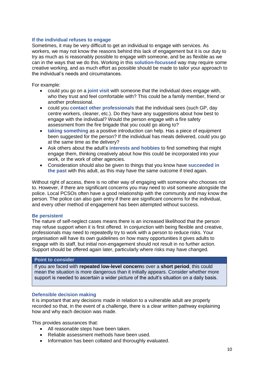#### **If the individual refuses to engage**

Sometimes, it may be very difficult to get an individual to engage with services. As workers, we may not know the reasons behind this lack of engagement but it is our duty to try as much as is reasonably possible to engage with someone, and be as flexible as we can in the ways that we do this. Working in this **solution-focussed** way may require some creative working, and as much effort as possible should be made to tailor your approach to the individual's needs and circumstances.

For example:

- could you go on a **joint visit** with someone that the individual does engage with, who they trust and feel comfortable with? This could be a family member, friend or another professional.
- could you **contact other professionals** that the individual sees (such GP, day centre workers, cleaner, etc.). Do they have any suggestions about how best to engage with the individual? Would the person engage with a fire safety assessment from the fire brigade that you could go along to?
- **taking something** as a positive introduction can help. Has a piece of equipment been suggested for the person? If the individual has meals delivered, could you go at the same time as the delivery?
- Ask others about the adult's **interests and hobbies** to find something that might engage them, thinking creatively about how this could be incorporated into your work, or the work of other agencies.
- Consideration should also be given to things that you know have **succeeded in the past** with this adult, as this may have the same outcome if tried again.

Without right of access, there is no other way of engaging with someone who chooses not to. However, if there are significant concerns you may need to visit someone alongside the police. Local PCSOs often have a good relationship with the community and may know the person. The police can also gain entry if there are significant concerns for the individual, and every other method of engagement has been attempted without success.

#### **Be persistent**

The nature of self-neglect cases means there is an increased likelihood that the person may refuse support when it is first offered. In conjunction with being flexible and creative, professionals may need to repeatedly try to work with a person to reduce risks. Your organisation will have its own guidelines on how many opportunities it gives adults to engage with its staff, but initial non-engagement should not result in no further action. Support should be offered again later, particularly where risks may have changed.

#### **Point to consider**

If you are faced with **repeated low-level concern**s over a **short period**, this could mean the situation is more dangerous than it initially appears. Consider whether more support is needed to ascertain a wider picture of the adult's situation on a daily basis.

#### **Defensible decision making**

It is important that any decisions made in relation to a vulnerable adult are properly recorded so that, in the event of a challenge, there is a clear written pathway explaining how and why each decision was made.

This provides assurances that:

- All reasonable steps have been taken.
- Reliable assessment methods have been used.
- Information has been collated and thoroughly evaluated.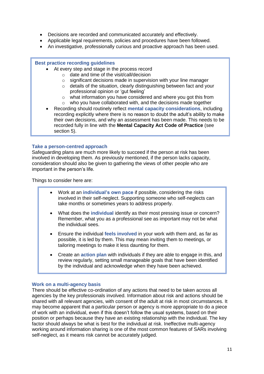- Decisions are recorded and communicated accurately and effectively.
- Applicable legal requirements, policies and procedures have been followed.
- An investigative, professionally curious and proactive approach has been used.

#### **Best practice recording guidelines**

- At every step and stage in the process record
	- o date and time of the visit/call/decision
	- o significant decisions made in supervision with your line manager
	- o details of the situation, clearly distinguishing between fact and your professional opinion or 'gut feeling'
	- o what information you have considered and where you got this from
	- o who you have collaborated with, and the decisions made together
- Recording should routinely reflect **mental capacity considerations**, including recording explicitly where there is no reason to doubt the adult's ability to make their own decisions, and why an assessment has been made. This needs to be recorded fully in line with the **Mental Capacity Act Code of Practice** (see section 5).

#### **Take a person-centred approach**

Safeguarding plans are much more likely to succeed if the person at risk has been involved in developing them. As previously mentioned, if the person lacks capacity, consideration should also be given to gathering the views of other people who are important in the person's life.

Things to consider here are:

- Work at an **individual's own pace** if possible, considering the risks involved in their self-neglect. Supporting someone who self-neglects can take months or sometimes years to address properly.
- What does the **individual** identify as their most pressing issue or concern? Remember, what you as a professional see as important may not be what the individual sees.
- Ensure the individual **feels involved** in your work with them and, as far as possible, it is led by them. This may mean inviting them to meetings, or tailoring meetings to make it less daunting for them.
- Create an **action plan** with individuals if they are able to engage in this, and review regularly, setting small manageable goals that have been identified by the individual and acknowledge when they have been achieved.

#### **Work on a multi-agency basis**

There should be effective co-ordination of any actions that need to be taken across all agencies by the key professionals involved. Information about risk and actions should be shared with all relevant agencies, with consent of the adult at risk in most circumstances. It may become apparent that a particular person or agency is more appropriate to do a piece of work with an individual, even if this doesn't follow the usual systems, based on their position or perhaps because they have an existing relationship with the individual. The key factor should always be what is best for the individual at risk. Ineffective multi-agency working around information sharing is one of the most common features of SARs involving self-neglect, as it means risk cannot be accurately judged.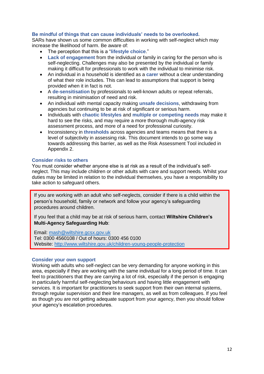#### **Be mindful of things that can cause individuals' needs to be overlooked.**

SARs have shown us some common difficulties in working with self-neglect which may increase the likelihood of harm. Be aware of:

- The perception that this is a "**lifestyle choice**."
- **Lack of engagement** from the individual or family in caring for the person who is self-neglecting. Challenges may also be presented by the individual or family making it difficult for professionals to work with the individual to minimise risk.
- An individual in a household is identified as a **carer** without a clear understanding of what their role includes. This can lead to assumptions that support is being provided when it in fact is not.
- A **de-sensitisation** by professionals to well-known adults or repeat referrals, resulting in minimisation of need and risk.
- An individual with mental capacity making **unsafe decisions**, withdrawing from agencies but continuing to be at risk of significant or serious harm.
- Individuals with **chaotic lifestyles** and **multiple or competing needs** may make it hard to see the risks, and may require a more thorough multi-agency risk assessment process, and more of a need for professional curiosity.
- Inconsistency in **thresholds** across agencies and teams means that there is a level of subjectivity in assessing risk. This document intends to go some way towards addressing this barrier, as well as the Risk Assessment Tool included in Appendix 2.

#### **Consider risks to others**

You must consider whether anyone else is at risk as a result of the individual's selfneglect. This may include children or other adults with care and support needs. Whilst your duties may be limited in relation to the individual themselves, you have a responsibility to take action to safeguard others.

If you are working with an adult who self-neglects, consider if there is a child within the person's household, family or network and follow your agency's safeguarding procedures around children.

If you feel that a child may be at risk of serious harm, contact **Wiltshire Children's Multi-Agency Safeguarding Hub**:

Email: [mash@wiltshire.gcsx.gov.uk](mailto:mash@wiltshire.gcsx.gov.uk) Tel: 0300 4560108 / Out of hours: 0300 456 0100

Website:<http://www.wiltshire.gov.uk/children-young-people-protection>

#### **Consider your own support**

Working with adults who self-neglect can be very demanding for anyone working in this area, especially if they are working with the same individual for a long period of time. It can feel to practitioners that they are carrying a lot of risk, especially if the person is engaging in particularly harmful self-neglecting behaviours and having little engagement with services. It is important for practitioners to seek support from their own internal systems, through regular supervision and their line managers, as well as from colleagues. If you feel as though you are not getting adequate support from your agency, then you should follow your agency's escalation procedures.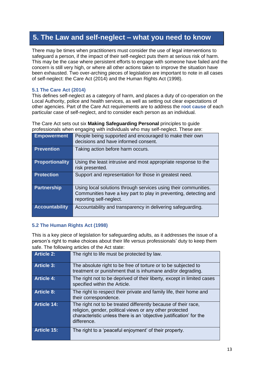## **5. The Law and self-neglect – what you need to know**

There may be times when practitioners must consider the use of legal interventions to safeguard a person, if the impact of their self-neglect puts them at serious risk of harm. This may be the case where persistent efforts to engage with someone have failed and the concern is still very high, or where all other actions taken to improve the situation have been exhausted. Two over-arching pieces of legislation are important to note in all cases of self-neglect: the Care Act (2014) and the Human Rights Act (1998).

#### **5.1 The Care Act (2014)**

This defines self-neglect as a category of harm, and places a duty of co-operation on the Local Authority, police and health services, as well as setting out clear expectations of other agencies. Part of the Care Act requirements are to address the **root cause** of each particular case of self-neglect, and to consider each person as an individual.

The Care Act sets out six **Making Safeguarding Personal** principles to guide professionals when engaging with individuals who may self-neglect. These are:

| <b>Empowerment</b>     | People being supported and encouraged to make their own<br>decisions and have informed consent.                                                                |
|------------------------|----------------------------------------------------------------------------------------------------------------------------------------------------------------|
| <b>Prevention</b>      | Taking action before harm occurs.                                                                                                                              |
| <b>Proportionality</b> | Using the least intrusive and most appropriate response to the<br>risk presented.                                                                              |
| <b>Protection</b>      | Support and representation for those in greatest need.                                                                                                         |
| <b>Partnership</b>     | Using local solutions through services using their communities.<br>Communities have a key part to play in preventing, detecting and<br>reporting self-neglect. |
| <b>Accountability</b>  | Accountability and transparency in delivering safeguarding.                                                                                                    |

#### **5.2 The Human Rights Act (1998)**

This is a key piece of legislation for safeguarding adults, as it addresses the issue of a person's right to make choices about their life versus professionals' duty to keep them safe. The following articles of the Act state:

| <b>Article 2:</b>  | The right to life must be protected by law.                                                                                                                                                                      |
|--------------------|------------------------------------------------------------------------------------------------------------------------------------------------------------------------------------------------------------------|
| <b>Article 3:</b>  | The absolute right to be free of torture or to be subjected to<br>treatment or punishment that is inhumane and/or degrading.                                                                                     |
| <b>Article 4:</b>  | The right not to be deprived of their liberty, except in limited cases<br>specified within the Article.                                                                                                          |
| <b>Article 8:</b>  | The right to respect their private and family life, their home and<br>their correspondence.                                                                                                                      |
| <b>Article 14:</b> | The right not to be treated differently because of their race,<br>religion, gender, political views or any other protected<br>characteristic unless there is an 'objective justification' for the<br>difference. |
| <b>Article 15:</b> | The right to a 'peaceful enjoyment' of their property.                                                                                                                                                           |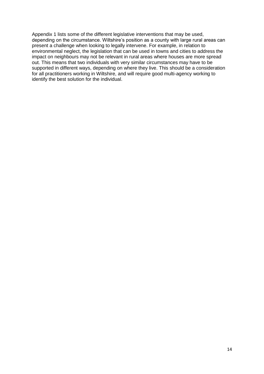Appendix 1 lists some of the different legislative interventions that may be used, depending on the circumstance. Wiltshire's position as a county with large rural areas can present a challenge when looking to legally intervene. For example, in relation to environmental neglect, the legislation that can be used in towns and cities to address the impact on neighbours may not be relevant in rural areas where houses are more spread out. This means that two individuals with very similar circumstances may have to be supported in different ways, depending on where they live. This should be a consideration for all practitioners working in Wiltshire, and will require good multi-agency working to identify the best solution for the individual.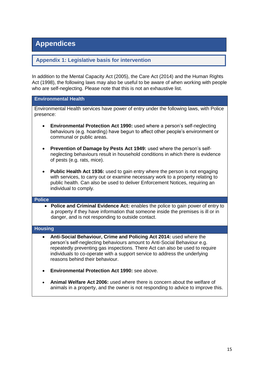## **Appendices**

#### **Appendix 1: Legislative basis for intervention**

In addition to the Mental Capacity Act (2005), the Care Act (2014) and the Human Rights Act (1998), the following laws may also be useful to be aware of when working with people who are self-neglecting. Please note that this is not an exhaustive list.

#### **Environmental Health**

Environmental Health services have power of entry under the following laws, with Police presence:

- **Environmental Protection Act 1990:** used where a person's self-neglecting behaviours (e.g. hoarding) have begun to affect other people's environment or communal or public areas.
- **Prevention of Damage by Pests Act 1949:** used where the person's selfneglecting behaviours result in household conditions in which there is evidence of pests (e.g. rats, mice).
- **Public Health Act 1936:** used to gain entry where the person is not engaging with services, to carry out or examine necessary work to a property relating to public health. Can also be used to deliver Enforcement Notices, requiring an individual to comply.

#### **Police**

 **Police and Criminal Evidence Act:** enables the police to gain power of entry to a property if they have information that someone inside the premises is ill or in danger, and is not responding to outside contact.

#### **Housing**

- **Anti-Social Behaviour, Crime and Policing Act 2014:** used where the person's self-neglecting behaviours amount to Anti-Social Behaviour e.g. repeatedly preventing gas inspections. There Act can also be used to require individuals to co-operate with a support service to address the underlying reasons behind their behaviour.
- **Environmental Protection Act 1990:** see above.
- **Animal Welfare Act 2006:** used where there is concern about the welfare of animals in a property, and the owner is not responding to advice to improve this.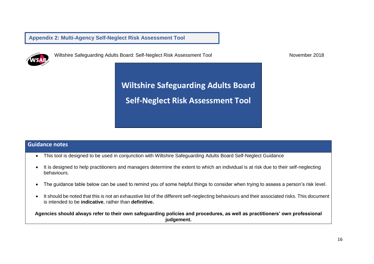**Appendix 2: Multi-Agency Self-Neglect Risk Assessment Tool**



Wiltshire Safeguarding Adults Board: Self-Neglect Risk Assessment Tool November 2018

**Wiltshire Safeguarding Adults Board Self-Neglect Risk Assessment Tool**

#### **Guidance notes**

- This tool is designed to be used in conjunction with Wiltshire Safeguarding Adults Board Self-Neglect Guidance
- It is designed to help practitioners and managers determine the extent to which an individual is at risk due to their self-neglecting behaviours.
- The guidance table below can be used to remind you of some helpful things to consider when trying to assess a person's risk level.
- It should be noted that this is not an exhaustive list of the different self-neglecting behaviours and their associated risks. This document is intended to be **indicative**, rather than **definitive.**

**Agencies should always refer to their own safeguarding policies and procedures, as well as practitioners' own professional judgement.**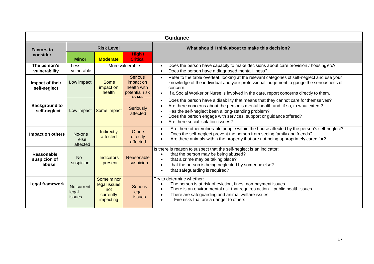|                                            | <b>Guidance</b>                                      |                                                             |                                                                                     |                                                                                                                                                                                                                                                                                                                                                                   |  |  |  |
|--------------------------------------------|------------------------------------------------------|-------------------------------------------------------------|-------------------------------------------------------------------------------------|-------------------------------------------------------------------------------------------------------------------------------------------------------------------------------------------------------------------------------------------------------------------------------------------------------------------------------------------------------------------|--|--|--|
| <b>Factors to</b><br>consider              | <b>Risk Level</b><br><b>Moderate</b><br><b>Minor</b> |                                                             | High /<br><b>Critical</b>                                                           | What should I think about to make this decision?                                                                                                                                                                                                                                                                                                                  |  |  |  |
| The person's<br>vulnerability              | Less<br>vulnerable                                   |                                                             | More vulnerable                                                                     | Does the person have capacity to make decisions about care provision / housing etc?<br>Does the person have a diagnosed mental illness?                                                                                                                                                                                                                           |  |  |  |
| Impact of their<br>self-neglect            | Low impact                                           | Some<br>impact on<br>health                                 | <b>Serious</b><br>impact on<br>health with<br>potential risk<br>$\overline{a}$ life | Refer to the table overleaf, looking at the relevant categories of self-neglect and use your<br>$\bullet$<br>knowledge of the individual and your professional judgement to gauge the seriousness of<br>concern.<br>If a Social Worker or Nurse is involved in the care, report concerns directly to them.<br>$\bullet$                                           |  |  |  |
| <b>Background to</b><br>self-neglect       | Low impact                                           | Some impact                                                 | <b>Seriously</b><br>affected                                                        | Does the person have a disability that means that they cannot care for themselves?<br>$\bullet$<br>Are there concerns about the person's mental health and, if so, to what extent?<br>Has the self-neglect been a long-standing problem?<br>Does the person engage with services, support or guidance offered?<br>Are there social isolation issues?<br>$\bullet$ |  |  |  |
| Impact on others                           | No-one<br>else<br>affected                           | <b>Indirectly</b><br>affected                               | <b>Others</b><br>directly<br>affected                                               | Are there other vulnerable people within the house affected by the person's self-neglect?<br>$\bullet$<br>Does the self-neglect prevent the person from seeing family and friends?<br>$\bullet$<br>Are there animals within the property that are not being appropriately cared for?                                                                              |  |  |  |
| <b>Reasonable</b><br>suspicion of<br>abuse | <b>No</b><br>suspicion                               | <b>Indicators</b><br>present                                | Reasonable<br>suspicion                                                             | Is there is reason to suspect that the self-neglect is an indicator:<br>that the person may be being abused?<br>$\bullet$<br>that a crime may be taking place?<br>$\bullet$<br>that the person is being neglected by someone else?<br>that safeguarding is required?                                                                                              |  |  |  |
| Legal framework                            | No current<br>legal<br>issues                        | Some minor<br>legal issues<br>not<br>currently<br>impacting | <b>Serious</b><br>legal<br><b>issues</b>                                            | Try to determine whether:<br>The person is at risk of eviction, fines, non-payment issues<br>There is an environmental risk that requires action - public health issues<br>$\bullet$<br>There are safeguarding and animal welfare issues<br>$\bullet$<br>Fire risks that are a danger to others                                                                   |  |  |  |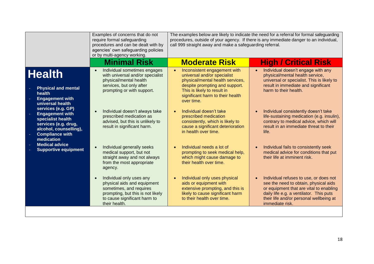|                                                                                                                                                             | Examples of concerns that do not<br>require formal safeguarding<br>procedures and can be dealt with by<br>agencies' own safeguarding policies<br>or by multi-agency working.          | The examples below are likely to indicate the need for a referral for formal safeguarding<br>procedures, outside of your agency. If there is any immediate danger to an individual,<br>call 999 straight away and make a safeguarding referral. |                                                                                                                                                                                                                                                  |
|-------------------------------------------------------------------------------------------------------------------------------------------------------------|---------------------------------------------------------------------------------------------------------------------------------------------------------------------------------------|-------------------------------------------------------------------------------------------------------------------------------------------------------------------------------------------------------------------------------------------------|--------------------------------------------------------------------------------------------------------------------------------------------------------------------------------------------------------------------------------------------------|
|                                                                                                                                                             | <b>Minimal Risk</b>                                                                                                                                                                   | <b>Moderate Risk</b>                                                                                                                                                                                                                            | <b>High / Critical Risk</b>                                                                                                                                                                                                                      |
| <b>Health</b><br><b>Physical and mental</b><br>health<br><b>Engagement with</b><br>universal health                                                         | Individual sometimes engages<br>$\bullet$<br>with universal and/or specialist<br>physical/mental health<br>services, but only after<br>prompting or with support.                     | Inconsistent engagement with<br>universal and/or specialist<br>physical/mental health services,<br>despite prompting and support.<br>This is likely to result in<br>significant harm to their health<br>over time.                              | Individual doesn't engage with any<br>$\bullet$<br>physical/mental health service,<br>universal or specialist. This is likely to<br>result in immediate and significant<br>harm to their health.                                                 |
| services (e.g. GP)<br><b>Engagement with</b><br>specialist health<br>services (e.g. drug,<br>alcohol, counselling),<br><b>Compliance with</b><br>medication | Individual doesn't always take<br>$\bullet$<br>prescribed medication as<br>advised, but this is unlikely to<br>result in significant harm.                                            | Individual doesn't take<br>prescribed medication<br>consistently, which is likely to<br>cause a significant deterioration<br>in health over time.                                                                                               | Individual consistently doesn't take<br>$\bullet$<br>life-sustaining medication (e.g. insulin),<br>contrary to medical advice, which will<br>result in an immediate threat to their<br>life.                                                     |
| <b>Medical advice</b><br><b>Supportive equipment</b>                                                                                                        | Individual generally seeks<br>$\bullet$<br>medical support, but not<br>straight away and not always<br>from the most appropriate<br>agency.                                           | Individual needs a lot of<br>prompting to seek medical help,<br>which might cause damage to<br>their health over time.                                                                                                                          | Individual fails to consistently seek<br>$\bullet$<br>medical advice for conditions that put<br>their life at imminent risk.                                                                                                                     |
|                                                                                                                                                             | Individual only uses any<br>$\bullet$<br>physical aids and equipment<br>sometimes, and requires<br>prompting, but this is not likely<br>to cause significant harm to<br>their health. | Individual only uses physical<br>aids or equipment with<br>extensive prompting, and this is<br>likely to cause significant harm<br>to their health over time.                                                                                   | Individual refuses to use, or does not<br>$\bullet$<br>see the need to obtain, physical aids<br>or equipment that are vital to enabling<br>daily life e.g. a ventilator. This puts<br>their life and/or personal wellbeing at<br>immediate risk. |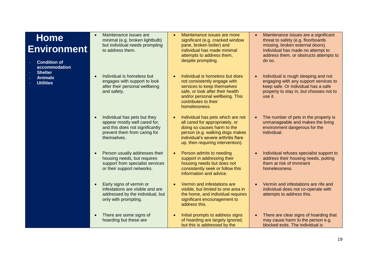## **Home Environment**

- **Condition of accommodation**
- **Shelter**
- **Animals**
- **Utilities**

 Maintenance issues are minimal (e.g. broken lightbulb) but individual needs prompting to address them.

 Individual is homeless but engages with support to look after their personal wellbeing and safety.

- Individual has pets but they appear mostly well cared for, and this does not significantly prevent them from caring for themselves.
- Person usually addresses their housing needs, but requires support from specialist services or their support networks.
- Early signs of vermin or infestations are visible and are addressed by the individual, but only with prompting.
	- There are some signs of hoarding but these are
- Maintenance issues are more significant (e.g. cracked window pane, broken boiler) and individual has made minimal attempts to address them, despite prompting.
- Individual is homeless but does not consistently engage with services to keep themselves safe, or look after their health and/or personal wellbeing. This contributes to their homelessness.
- Individual has pets which are not all cared for appropriately, or doing so causes harm to the person (e.g. walking dogs makes individual's severe arthritis flare up, then requiring intervention).
- Person admits to needing support in addressing their housing needs but does not consistently seek or follow this information and advice.
- Vermin and infestations are visible, but limited to one area in the home, and individual requires significant encouragement to address this.
- Initial prompts to address signs of hoarding are largely ignored, but this is addressed by the
- Maintenance issues are a significant threat to safety (e.g. floorboards missing, broken external doors). Individual has made no attempt to address them, or obstructs attempts to do so.
- Individual is rough sleeping and not engaging with any support services to keep safe. Or individual has a safe property to stay in, but chooses not to use it.

• The number of pets in the property is unmanageable and makes the living environment dangerous for the individual.

- Individual refuses specialist support to address their housing needs, putting them at risk of imminent homelessness.
- Vermin and infestations are rife and individual does not co-operate with attempts to address this.
- There are clear signs of hoarding that may cause harm to the person e.g. blocked exits. The individual is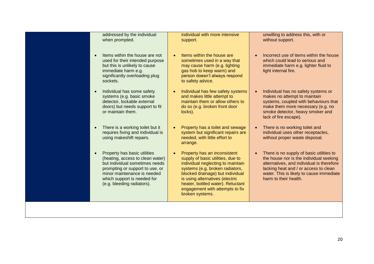| addressed by the individual<br>when prompted.                                                                                                                                                                                     | individual with more intensive<br>support.                                                                                                                                                                                                                                                                               | unwilling to address this, with or<br>without support.                                                                                                                                                                                                      |
|-----------------------------------------------------------------------------------------------------------------------------------------------------------------------------------------------------------------------------------|--------------------------------------------------------------------------------------------------------------------------------------------------------------------------------------------------------------------------------------------------------------------------------------------------------------------------|-------------------------------------------------------------------------------------------------------------------------------------------------------------------------------------------------------------------------------------------------------------|
| Items within the house are not<br>used for their intended purpose<br>but this is unlikely to cause<br>immediate harm e.g.<br>significantly overloading plug<br>sockets.                                                           | Items within the house are<br>$\bullet$<br>sometimes used in a way that<br>may cause harm (e.g. lighting<br>gas hob to keep warm) and<br>person doesn't always respond<br>to safety advice.                                                                                                                              | Incorrect use of items within the house<br>$\bullet$<br>which could lead to serious and<br>immediate harm e.g. lighter fluid to<br>light internal fire.                                                                                                     |
| Individual has some safety<br>systems (e.g. basic smoke<br>detector, lockable external<br>doors) but needs support to fit<br>or maintain them.                                                                                    | Individual has few safety systems<br>$\bullet$<br>and makes little attempt to<br>maintain them or allow others to<br>do so (e.g. broken front door<br>locks).                                                                                                                                                            | Individual has no safety systems or<br>makes no attempt to maintain<br>systems, coupled with behaviours that<br>make them more necessary (e.g. no<br>smoke detector, heavy smoker and<br>lack of fire escape).                                              |
| There is a working toilet but it<br>requires fixing and individual is<br>using makeshift repairs.                                                                                                                                 | Property has a toilet and sewage<br>$\bullet$<br>system but significant repairs are<br>needed, with little effort to<br>arrange.                                                                                                                                                                                         | There is no working toilet and<br>individual uses other receptacles,<br>without proper waste disposal.                                                                                                                                                      |
| Property has basic utilities<br>(heating, access to clean water)<br>but individual sometimes needs<br>prompting or support to use, or<br>minor maintenance is needed<br>which support is needed for<br>(e.g. bleeding radiators). | Property has an inconsistent<br>$\bullet$<br>supply of basic utilities, due to<br>individual neglecting to maintain<br>systems (e.g. broken radiators,<br>blocked drainage) but individual<br>is using alternatives (electric<br>heater, bottled water). Reluctant<br>engagement with attempts to fix<br>broken systems. | There is no supply of basic utilities to<br>$\bullet$<br>the house nor is the individual seeking<br>alternatives, and individual is therefore<br>lacking heat and / or access to clean<br>water. This is likely to cause immediate<br>harm to their health. |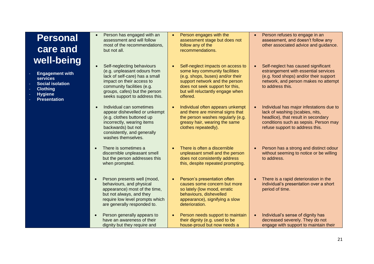## **Personal care and well-being**

- **Engagement with services**
- **Social isolation**
- **Clothing**
- **Hygiene**
- **Presentation**
- Person has engaged with an assessment and will follow most of the recommendations, but not all.
- Self-neglecting behaviours (e.g. unpleasant odours from lack of self-care) has a small impact on their access to community facilities (e.g. groups, cafes) but the person seeks support to address this.
- Individual can sometimes appear dishevelled or unkempt (e.g. clothes buttoned up incorrectly, wearing items backwards) but not consistently, and generally washes themselves.
- There is sometimes a discernible unpleasant smell but the person addresses this when prompted.
- Person presents well (mood, behaviours, and physical appearance) most of the time, but not always, and they require low level prompts which are generally responded to.
- Person generally appears to have an awareness of their dignity but they require and
- Person engages with the assessment stage but does not follow any of the recommendations.
- Self-neglect impacts on access to some key community facilities (e.g. shops, buses) and/or their support network and the person does not seek support for this, but will reluctantly engage when offered.
- Individual often appears unkempt and there are minimal signs that the person washes regularly (e.g. greasy hair, wearing the same clothes repeatedly).
- There is often a discernible unpleasant smell and the person does not consistently address this, despite repeated prompting.
- Person's presentation often causes some concern but more so lately (low mood, erratic behaviours, dishevelled appearance), signifying a slow deterioration.
- Person needs support to maintain their dignity (e.g. used to be house-proud but now needs a
- Person refuses to engage in an assessment, and doesn't follow any other associated advice and guidance.
- Self-neglect has caused significant estrangement with essential services (e.g. food shops) and/or their support network, and person makes no attempt to address this.
- Individual has major infestations due to lack of washing (scabies, nits, headlice), that result in secondary conditions such as sepsis. Person may refuse support to address this.
- Person has a strong and distinct odour without seeming to notice or be willing to address.
- There is a rapid deterioration in the individual's presentation over a short period of time.
- Individual's sense of dignity has decreased severely. They do not engage with support to maintain their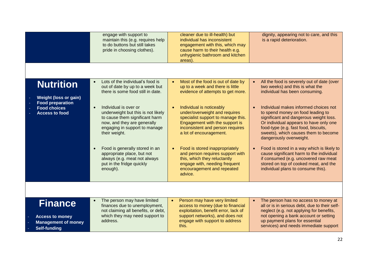|                                                                                                                             | engage with support to<br>maintain this (e.g. requires help<br>to do buttons but still takes<br>pride in choosing clothes).                                                                                                                                                                                                                                                                                                                                                | cleaner due to ill-health) but<br>individual has inconsistent<br>engagement with this, which may<br>cause harm to their health e.g.<br>unhygienic bathroom and kitchen<br>areas).                                                                                                                                                                                                                                                                                                               | dignity, appearing not to care, and this<br>is a rapid deterioration.                                                                                                                                                                                                                                                                                                                                                                                                                                                                                                                                                                   |
|-----------------------------------------------------------------------------------------------------------------------------|----------------------------------------------------------------------------------------------------------------------------------------------------------------------------------------------------------------------------------------------------------------------------------------------------------------------------------------------------------------------------------------------------------------------------------------------------------------------------|-------------------------------------------------------------------------------------------------------------------------------------------------------------------------------------------------------------------------------------------------------------------------------------------------------------------------------------------------------------------------------------------------------------------------------------------------------------------------------------------------|-----------------------------------------------------------------------------------------------------------------------------------------------------------------------------------------------------------------------------------------------------------------------------------------------------------------------------------------------------------------------------------------------------------------------------------------------------------------------------------------------------------------------------------------------------------------------------------------------------------------------------------------|
| <b>Nutrition</b><br><b>Weight (loss or gain)</b><br><b>Food preparation</b><br><b>Food choices</b><br><b>Access to food</b> | Lots of the individual's food is<br>$\bullet$<br>out of date by up to a week but<br>there is some food still in date.<br>Individual is over or<br>$\bullet$<br>underweight but this is not likely<br>to cause them significant harm<br>now, and they are generally<br>engaging in support to manage<br>their weight.<br>Food is generally stored in an<br>$\bullet$<br>appropriate place, but not<br>always (e.g. meat not always<br>put in the fridge quickly<br>enough). | Most of the food is out of date by<br>up to a week and there is little<br>evidence of attempts to get more.<br>Individual is noticeably<br>under/overweight and requires<br>specialist support to manage this.<br>Engagement with the support is<br>inconsistent and person requires<br>a lot of encouragement.<br>Food is stored inappropriately<br>and person requires support with<br>this, which they reluctantly<br>engage with, needing frequent<br>encouragement and repeated<br>advice. | All the food is severely out of date (over<br>$\bullet$<br>two weeks) and this is what the<br>individual has been consuming.<br>Individual makes informed choices not<br>to spend money on food leading to<br>significant and dangerous weight loss.<br>Or individual appears to have only one<br>food-type (e.g. fast food, biscuits,<br>sweets), which causes them to become<br>dangerously overweight.<br>Food is stored in a way which is likely to<br>$\bullet$<br>cause significant harm to the individual<br>if consumed (e.g. uncovered raw meat<br>stored on top of cooked meat, and the<br>individual plans to consume this). |
|                                                                                                                             |                                                                                                                                                                                                                                                                                                                                                                                                                                                                            |                                                                                                                                                                                                                                                                                                                                                                                                                                                                                                 |                                                                                                                                                                                                                                                                                                                                                                                                                                                                                                                                                                                                                                         |
| <b>Finance</b><br><b>Access to money</b><br><b>Management of money</b><br><b>Self-funding</b>                               | The person may have limited<br>$\bullet$<br>finances due to unemployment,<br>not claiming all benefits, or debt,<br>which they may need support to<br>address.                                                                                                                                                                                                                                                                                                             | Person may have very limited<br>access to money (due to financial<br>exploitation, benefit error, lack of<br>support networks), and does not<br>engage with support to address<br>this.                                                                                                                                                                                                                                                                                                         | The person has no access to money at<br>$\bullet$<br>all or is in serious debt, due to their self-<br>neglect (e.g. not applying for benefits,<br>not opening a bank account or setting<br>up payment plans for essential<br>services) and needs immediate support                                                                                                                                                                                                                                                                                                                                                                      |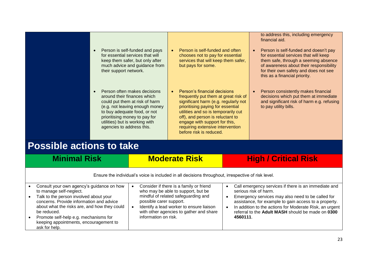| their support network.<br>agencies to address this. | Person is self-funded and pays<br>for essential services that will<br>keep them safer, but only after<br>much advice and guidance from<br>Person often makes decisions<br>around their finances which<br>could put them at risk of harm<br>(e.g. not leaving enough money<br>to buy adequate food, or not<br>prioritising money to pay for<br>utilities) but is working with | Person is self-funded and often<br>$\bullet$<br>chooses not to pay for essential<br>services that will keep them safer,<br>but pays for some.<br>Person's financial decisions<br>$\bullet$<br>frequently put them at great risk of<br>significant harm (e.g. regularly not<br>prioritising paying for essential<br>utilities and so is temporarily cut<br>off), and person is reluctant to<br>engage with support for this,<br>requiring extensive intervention<br>before risk is reduced. | to address this, including emergency<br>financial aid.<br>Person is self-funded and doesn't pay<br>$\bullet$<br>for essential services that will keep<br>them safe, through a seeming absence<br>of awareness about their responsibility<br>for their own safety and does not see<br>this as a financial priority.<br>Person consistently makes financial<br>decisions which put them at immediate<br>and significant risk of harm e.g. refusing<br>to pay utility bills. |
|-----------------------------------------------------|------------------------------------------------------------------------------------------------------------------------------------------------------------------------------------------------------------------------------------------------------------------------------------------------------------------------------------------------------------------------------|--------------------------------------------------------------------------------------------------------------------------------------------------------------------------------------------------------------------------------------------------------------------------------------------------------------------------------------------------------------------------------------------------------------------------------------------------------------------------------------------|---------------------------------------------------------------------------------------------------------------------------------------------------------------------------------------------------------------------------------------------------------------------------------------------------------------------------------------------------------------------------------------------------------------------------------------------------------------------------|
| <b>Possible actions to take</b>                     |                                                                                                                                                                                                                                                                                                                                                                              |                                                                                                                                                                                                                                                                                                                                                                                                                                                                                            |                                                                                                                                                                                                                                                                                                                                                                                                                                                                           |
| <b>Minimal Risk</b>                                 |                                                                                                                                                                                                                                                                                                                                                                              | <b>Moderate Risk</b>                                                                                                                                                                                                                                                                                                                                                                                                                                                                       | <b>High / Critical Risk</b>                                                                                                                                                                                                                                                                                                                                                                                                                                               |

Ensure the individual's voice is included in all decisions throughout, irrespective of risk level.

|  | Consult your own agency's guidance on how<br>to manage self-neglect.<br>Talk to the person involved about your<br>concerns. Provide information and advice<br>about what the risks are, and how they could<br>be reduced.<br>Promote self-help e.g. mechanisms for<br>keeping appointments, encouragement to<br>ask for help. |  | Consider if there is a family or friend<br>who may be able to support, but be<br>mindful of related safeguarding and<br>possible carer support.<br>Identify a lead worker to ensure liaison<br>with other agencies to gather and share<br>information on risk. |  | Call emergency services if there is an immediate and<br>serious risk of harm.<br>Emergency services may also need to be called for<br>assistance, for example to gain access to a property.<br>In addition to the actions for Moderate Risk, an urgent<br>referral to the Adult MASH should be made on 0300<br>4560111 |
|--|-------------------------------------------------------------------------------------------------------------------------------------------------------------------------------------------------------------------------------------------------------------------------------------------------------------------------------|--|----------------------------------------------------------------------------------------------------------------------------------------------------------------------------------------------------------------------------------------------------------------|--|------------------------------------------------------------------------------------------------------------------------------------------------------------------------------------------------------------------------------------------------------------------------------------------------------------------------|
|--|-------------------------------------------------------------------------------------------------------------------------------------------------------------------------------------------------------------------------------------------------------------------------------------------------------------------------------|--|----------------------------------------------------------------------------------------------------------------------------------------------------------------------------------------------------------------------------------------------------------------|--|------------------------------------------------------------------------------------------------------------------------------------------------------------------------------------------------------------------------------------------------------------------------------------------------------------------------|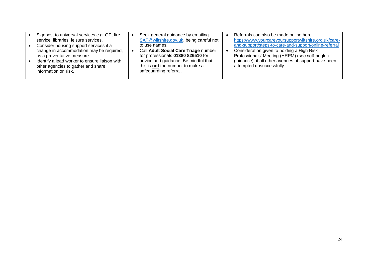| Signpost to universal services e.g. GP, fire<br>Seek general guidance by emailing<br>SAT@wiltshire.gov.uk, being careful not<br>service, libraries, leisure services.<br>Consider housing support services if a<br>to use names.<br>Call Adult Social Care Triage number<br>change in accommodation may be required,<br>for professionals 01380 826510 for<br>as a preventative measure.<br>advice and guidance. Be mindful that<br>Identify a lead worker to ensure liaison with<br>this is not the number to make a<br>other agencies to gather and share<br>safeguarding referral.<br>information on risk. | Referrals can also be made online here<br>https://www.yourcareyoursupportwiltshire.org.uk/care-<br>and-support/steps-to-care-and-support/online-referral<br>Consideration given to holding a High Risk<br>Professionals' Meeting (HRPM) (see self-neglect<br>guidance), if all other avenues of support have been<br>attempted unsuccessfully. |
|---------------------------------------------------------------------------------------------------------------------------------------------------------------------------------------------------------------------------------------------------------------------------------------------------------------------------------------------------------------------------------------------------------------------------------------------------------------------------------------------------------------------------------------------------------------------------------------------------------------|------------------------------------------------------------------------------------------------------------------------------------------------------------------------------------------------------------------------------------------------------------------------------------------------------------------------------------------------|
|---------------------------------------------------------------------------------------------------------------------------------------------------------------------------------------------------------------------------------------------------------------------------------------------------------------------------------------------------------------------------------------------------------------------------------------------------------------------------------------------------------------------------------------------------------------------------------------------------------------|------------------------------------------------------------------------------------------------------------------------------------------------------------------------------------------------------------------------------------------------------------------------------------------------------------------------------------------------|